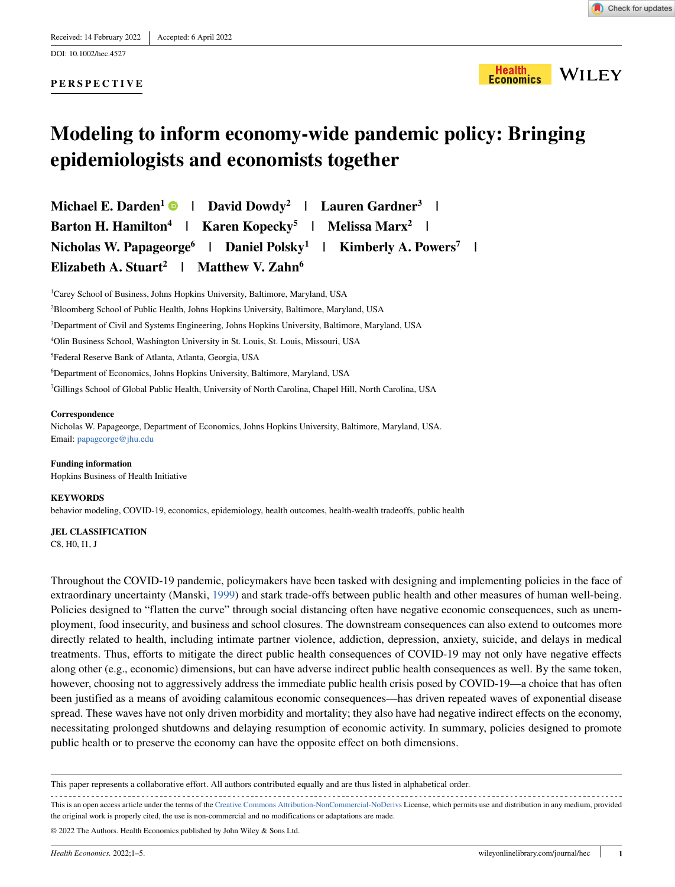DOI: 10.1002/hec.4527

### **PERSPECTIVE**



# **Modeling to inform economy-wide pandemic policy: Bringing epidemiologists and economists together**

**Michael E. Darden<sup>1</sup> | David Dowdy2 | Lauren Gardner<sup>3</sup> | Barton H. Hamilton4 | Karen Kopecky<sup>5</sup> | Melissa Marx<sup>2</sup> | Nicholas W. Papageorge<sup>6</sup> | Daniel Polsky<sup>1</sup> | Kimberly A. Powers7 | Elizabeth A. Stuart<sup>2</sup> | Matthew V. Zahn<sup>6</sup>**

 Carey School of Business, Johns Hopkins University, Baltimore, Maryland, USA Bloomberg School of Public Health, Johns Hopkins University, Baltimore, Maryland, USA Department of Civil and Systems Engineering, Johns Hopkins University, Baltimore, Maryland, USA Olin Business School, Washington University in St. Louis, St. Louis, Missouri, USA Federal Reserve Bank of Atlanta, Atlanta, Georgia, USA Department of Economics, Johns Hopkins University, Baltimore, Maryland, USA Gillings School of Global Public Health, University of North Carolina, Chapel Hill, North Carolina, USA

#### **Correspondence**

Nicholas W. Papageorge, Department of Economics, Johns Hopkins University, Baltimore, Maryland, USA. Email: papageorge@jhu.edu

**Funding information** Hopkins Business of Health Initiative

#### **KEYWORDS**

behavior modeling, COVID-19, economics, epidemiology, health outcomes, health-wealth tradeoffs, public health

**JEL CLASSIFICATION** C8, H0, I1, J

Throughout the COVID-19 pandemic, policymakers have been tasked with designing and implementing policies in the face of extraordinary uncertainty (Manski, [1999](#page-4-0)) and stark trade-offs between public health and other measures of human well-being. Policies designed to "flatten the curve" through social distancing often have negative economic consequences, such as unemployment, food insecurity, and business and school closures. The downstream consequences can also extend to outcomes more directly related to health, including intimate partner violence, addiction, depression, anxiety, suicide, and delays in medical treatments. Thus, efforts to mitigate the direct public health consequences of COVID-19 may not only have negative effects along other (e.g., economic) dimensions, but can have adverse indirect public health consequences as well. By the same token, however, choosing not to aggressively address the immediate public health crisis posed by COVID-19—a choice that has often been justified as a means of avoiding calamitous economic consequences—has driven repeated waves of exponential disease spread. These waves have not only driven morbidity and mortality; they also have had negative indirect effects on the economy, necessitating prolonged shutdowns and delaying resumption of economic activity. In summary, policies designed to promote public health or to preserve the economy can have the opposite effect on both dimensions.

This paper represents a collaborative effort. All authors contributed equally and are thus listed in alphabetical order.

This is an open access article under the terms of the [Creative Commons Attribution-NonCommercial-NoDerivs](http://creativecommons.org/licenses/by-nc-nd/4.0/) License, which permits use and distribution in any medium, provided the original work is properly cited, the use is non-commercial and no modifications or adaptations are made.

© 2022 The Authors. Health Economics published by John Wiley & Sons Ltd.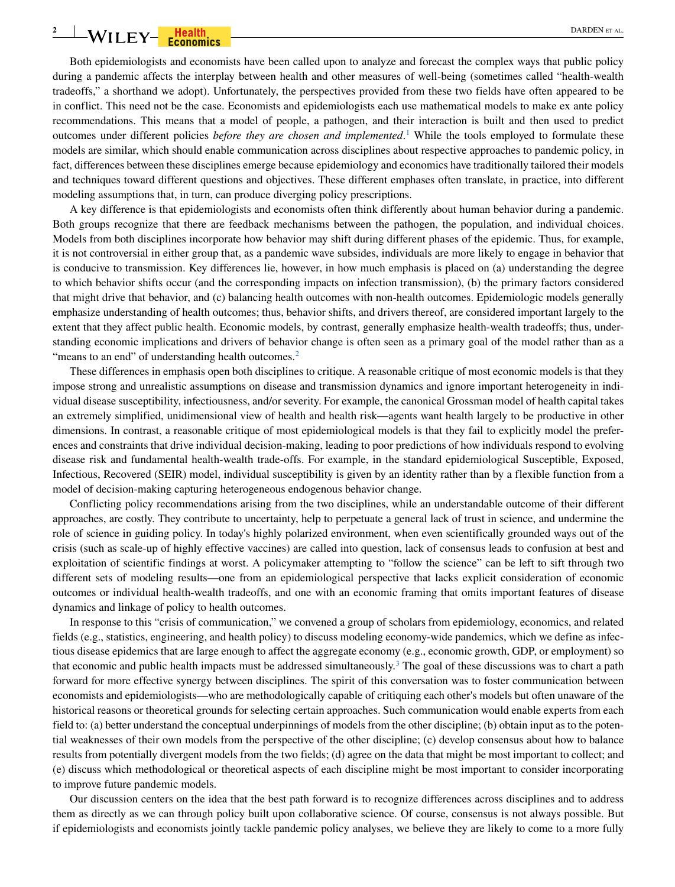# **2** WILEY-**Franchis** DARDEN ET AL.

Both epidemiologists and economists have been called upon to analyze and forecast the complex ways that public policy during a pandemic affects the interplay between health and other measures of well-being (sometimes called "health-wealth tradeoffs," a shorthand we adopt). Unfortunately, the perspectives provided from these two fields have often appeared to be in conflict. This need not be the case. Economists and epidemiologists each use mathematical models to make ex ante policy recommendations. This means that a model of people, a pathogen, and their interaction is built and then used to predict outcomes under different policies *before they are chosen and implemented*. [1](#page-4-1) While the tools employed to formulate these models are similar, which should enable communication across disciplines about respective approaches to pandemic policy, in fact, differences between these disciplines emerge because epidemiology and economics have traditionally tailored their models and techniques toward different questions and objectives. These different emphases often translate, in practice, into different modeling assumptions that, in turn, can produce diverging policy prescriptions.

A key difference is that epidemiologists and economists often think differently about human behavior during a pandemic. Both groups recognize that there are feedback mechanisms between the pathogen, the population, and individual choices. Models from both disciplines incorporate how behavior may shift during different phases of the epidemic. Thus, for example, it is not controversial in either group that, as a pandemic wave subsides, individuals are more likely to engage in behavior that is conducive to transmission. Key differences lie, however, in how much emphasis is placed on (a) understanding the degree to which behavior shifts occur (and the corresponding impacts on infection transmission), (b) the primary factors considered that might drive that behavior, and (c) balancing health outcomes with non-health outcomes. Epidemiologic models generally emphasize understanding of health outcomes; thus, behavior shifts, and drivers thereof, are considered important largely to the extent that they affect public health. Economic models, by contrast, generally emphasize health-wealth tradeoffs; thus, understanding economic implications and drivers of behavior change is often seen as a primary goal of the model rather than as a "means to an end" of understanding health outcomes.<sup>[2](#page-4-2)</sup>

These differences in emphasis open both disciplines to critique. A reasonable critique of most economic models is that they impose strong and unrealistic assumptions on disease and transmission dynamics and ignore important heterogeneity in individual disease susceptibility, infectiousness, and/or severity. For example, the canonical Grossman model of health capital takes an extremely simplified, unidimensional view of health and health risk—agents want health largely to be productive in other dimensions. In contrast, a reasonable critique of most epidemiological models is that they fail to explicitly model the preferences and constraints that drive individual decision-making, leading to poor predictions of how individuals respond to evolving disease risk and fundamental health-wealth trade-offs. For example, in the standard epidemiological Susceptible, Exposed, Infectious, Recovered (SEIR) model, individual susceptibility is given by an identity rather than by a flexible function from a model of decision-making capturing heterogeneous endogenous behavior change.

Conflicting policy recommendations arising from the two disciplines, while an understandable outcome of their different approaches, are costly. They contribute to uncertainty, help to perpetuate a general lack of trust in science, and undermine the role of science in guiding policy. In today's highly polarized environment, when even scientifically grounded ways out of the crisis (such as scale-up of highly effective vaccines) are called into question, lack of consensus leads to confusion at best and exploitation of scientific findings at worst. A policymaker attempting to "follow the science" can be left to sift through two different sets of modeling results—one from an epidemiological perspective that lacks explicit consideration of economic outcomes or individual health-wealth tradeoffs, and one with an economic framing that omits important features of disease dynamics and linkage of policy to health outcomes.

In response to this "crisis of communication," we convened a group of scholars from epidemiology, economics, and related fields (e.g., statistics, engineering, and health policy) to discuss modeling economy-wide pandemics, which we define as infectious disease epidemics that are large enough to affect the aggregate economy (e.g., economic growth, GDP, or employment) so that economic and public health impacts must be addressed simultaneously.<sup>[3](#page-4-3)</sup> The goal of these discussions was to chart a path forward for more effective synergy between disciplines. The spirit of this conversation was to foster communication between economists and epidemiologists—who are methodologically capable of critiquing each other's models but often unaware of the historical reasons or theoretical grounds for selecting certain approaches. Such communication would enable experts from each field to: (a) better understand the conceptual underpinnings of models from the other discipline; (b) obtain input as to the potential weaknesses of their own models from the perspective of the other discipline; (c) develop consensus about how to balance results from potentially divergent models from the two fields; (d) agree on the data that might be most important to collect; and (e) discuss which methodological or theoretical aspects of each discipline might be most important to consider incorporating to improve future pandemic models.

Our discussion centers on the idea that the best path forward is to recognize differences across disciplines and to address them as directly as we can through policy built upon collaborative science. Of course, consensus is not always possible. But if epidemiologists and economists jointly tackle pandemic policy analyses, we believe they are likely to come to a more fully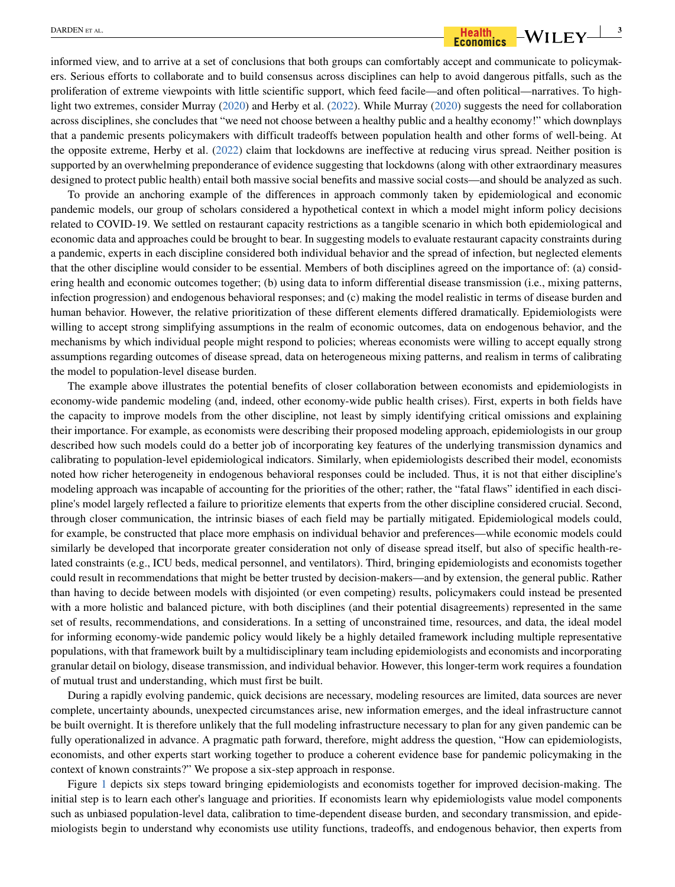# $\overline{\text{BARDEN ETAL.}}$  **BARDEN ET AL.**  $\overline{\text{Bash}}$   $\overline{\text{Beath}}$   $\overline{\text{Beath}}$   $\overline{\text{Bosh}}$   $\overline{\text{Bosh}}$   $\overline{\text{Bosh}}$   $\overline{\text{B}}$

informed view, and to arrive at a set of conclusions that both groups can comfortably accept and communicate to policymakers. Serious efforts to collaborate and to build consensus across disciplines can help to avoid dangerous pitfalls, such as the proliferation of extreme viewpoints with little scientific support, which feed facile—and often political—narratives. To highlight two extremes, consider Murray [\(2020](#page-4-4)) and Herby et al. [\(2022](#page-4-5)). While Murray ([2020\)](#page-4-4) suggests the need for collaboration across disciplines, she concludes that "we need not choose between a healthy public and a healthy economy!" which downplays that a pandemic presents policymakers with difficult tradeoffs between population health and other forms of well-being. At the opposite extreme, Herby et al. ([2022\)](#page-4-5) claim that lockdowns are ineffective at reducing virus spread. Neither position is supported by an overwhelming preponderance of evidence suggesting that lockdowns (along with other extraordinary measures designed to protect public health) entail both massive social benefits and massive social costs—and should be analyzed as such.

To provide an anchoring example of the differences in approach commonly taken by epidemiological and economic pandemic models, our group of scholars considered a hypothetical context in which a model might inform policy decisions related to COVID-19. We settled on restaurant capacity restrictions as a tangible scenario in which both epidemiological and economic data and approaches could be brought to bear. In suggesting models to evaluate restaurant capacity constraints during a pandemic, experts in each discipline considered both individual behavior and the spread of infection, but neglected elements that the other discipline would consider to be essential. Members of both disciplines agreed on the importance of: (a) considering health and economic outcomes together; (b) using data to inform differential disease transmission (i.e., mixing patterns, infection progression) and endogenous behavioral responses; and (c) making the model realistic in terms of disease burden and human behavior. However, the relative prioritization of these different elements differed dramatically. Epidemiologists were willing to accept strong simplifying assumptions in the realm of economic outcomes, data on endogenous behavior, and the mechanisms by which individual people might respond to policies; whereas economists were willing to accept equally strong assumptions regarding outcomes of disease spread, data on heterogeneous mixing patterns, and realism in terms of calibrating the model to population-level disease burden.

The example above illustrates the potential benefits of closer collaboration between economists and epidemiologists in economy-wide pandemic modeling (and, indeed, other economy-wide public health crises). First, experts in both fields have the capacity to improve models from the other discipline, not least by simply identifying critical omissions and explaining their importance. For example, as economists were describing their proposed modeling approach, epidemiologists in our group described how such models could do a better job of incorporating key features of the underlying transmission dynamics and calibrating to population-level epidemiological indicators. Similarly, when epidemiologists described their model, economists noted how richer heterogeneity in endogenous behavioral responses could be included. Thus, it is not that either discipline's modeling approach was incapable of accounting for the priorities of the other; rather, the "fatal flaws" identified in each discipline's model largely reflected a failure to prioritize elements that experts from the other discipline considered crucial. Second, through closer communication, the intrinsic biases of each field may be partially mitigated. Epidemiological models could, for example, be constructed that place more emphasis on individual behavior and preferences—while economic models could similarly be developed that incorporate greater consideration not only of disease spread itself, but also of specific health-related constraints (e.g., ICU beds, medical personnel, and ventilators). Third, bringing epidemiologists and economists together could result in recommendations that might be better trusted by decision-makers—and by extension, the general public. Rather than having to decide between models with disjointed (or even competing) results, policymakers could instead be presented with a more holistic and balanced picture, with both disciplines (and their potential disagreements) represented in the same set of results, recommendations, and considerations. In a setting of unconstrained time, resources, and data, the ideal model for informing economy-wide pandemic policy would likely be a highly detailed framework including multiple representative populations, with that framework built by a multidisciplinary team including epidemiologists and economists and incorporating granular detail on biology, disease transmission, and individual behavior. However, this longer-term work requires a foundation of mutual trust and understanding, which must first be built.

During a rapidly evolving pandemic, quick decisions are necessary, modeling resources are limited, data sources are never complete, uncertainty abounds, unexpected circumstances arise, new information emerges, and the ideal infrastructure cannot be built overnight. It is therefore unlikely that the full modeling infrastructure necessary to plan for any given pandemic can be fully operationalized in advance. A pragmatic path forward, therefore, might address the question, "How can epidemiologists, economists, and other experts start working together to produce a coherent evidence base for pandemic policymaking in the context of known constraints?" We propose a six-step approach in response.

Figure [1](#page-3-0) depicts six steps toward bringing epidemiologists and economists together for improved decision-making. The initial step is to learn each other's language and priorities. If economists learn why epidemiologists value model components such as unbiased population-level data, calibration to time-dependent disease burden, and secondary transmission, and epidemiologists begin to understand why economists use utility functions, tradeoffs, and endogenous behavior, then experts from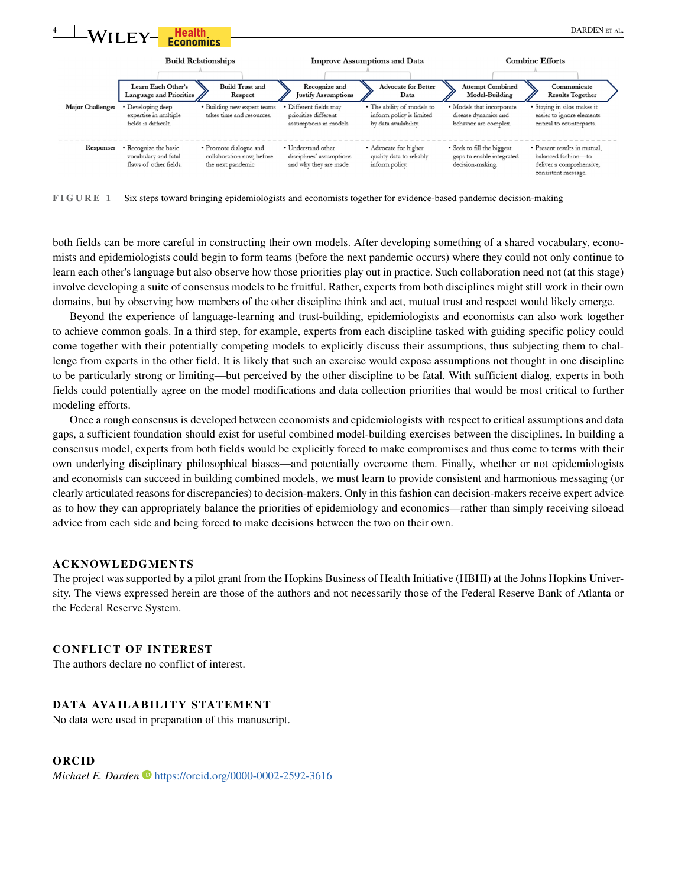

<span id="page-3-0"></span>**FIGURE 1** Six steps toward bringing epidemiologists and economists together for evidence-based pandemic decision-making

both fields can be more careful in constructing their own models. After developing something of a shared vocabulary, economists and epidemiologists could begin to form teams (before the next pandemic occurs) where they could not only continue to learn each other's language but also observe how those priorities play out in practice. Such collaboration need not (at this stage) involve developing a suite of consensus models to be fruitful. Rather, experts from both disciplines might still work in their own domains, but by observing how members of the other discipline think and act, mutual trust and respect would likely emerge.

Beyond the experience of language-learning and trust-building, epidemiologists and economists can also work together to achieve common goals. In a third step, for example, experts from each discipline tasked with guiding specific policy could come together with their potentially competing models to explicitly discuss their assumptions, thus subjecting them to challenge from experts in the other field. It is likely that such an exercise would expose assumptions not thought in one discipline to be particularly strong or limiting—but perceived by the other discipline to be fatal. With sufficient dialog, experts in both fields could potentially agree on the model modifications and data collection priorities that would be most critical to further modeling efforts.

Once a rough consensus is developed between economists and epidemiologists with respect to critical assumptions and data gaps, a sufficient foundation should exist for useful combined model-building exercises between the disciplines. In building a consensus model, experts from both fields would be explicitly forced to make compromises and thus come to terms with their own underlying disciplinary philosophical biases—and potentially overcome them. Finally, whether or not epidemiologists and economists can succeed in building combined models, we must learn to provide consistent and harmonious messaging (or clearly articulated reasons for discrepancies) to decision-makers. Only in this fashion can decision-makers receive expert advice as to how they can appropriately balance the priorities of epidemiology and economics—rather than simply receiving siloead advice from each side and being forced to make decisions between the two on their own.

#### **ACKNOWLEDGMENTS**

The project was supported by a pilot grant from the Hopkins Business of Health Initiative (HBHI) at the Johns Hopkins University. The views expressed herein are those of the authors and not necessarily those of the Federal Reserve Bank of Atlanta or the Federal Reserve System.

### **CONFLICT OF INTEREST**

The authors declare no conflict of interest.

### **DATA AVAILABILITY STATEMENT**

No data were used in preparation of this manuscript.

#### **ORCID**

*Michael E. Darden* **ID** <https://orcid.org/0000-0002-2592-3616>